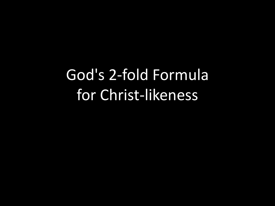# God's 2-fold Formula for Christ-likeness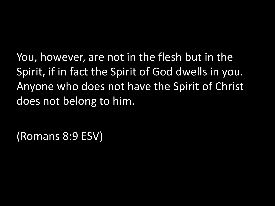You, however, are not in the flesh but in the Spirit, if in fact the Spirit of God dwells in you. Anyone who does not have the Spirit of Christ does not belong to him.

(Romans 8:9 ESV)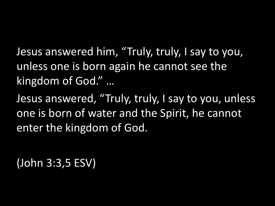Jesus answered him, "Truly, truly, I say to you, unless one is born again he cannot see the kingdom of God." …

Jesus answered, "Truly, truly, I say to you, unless one is born of water and the Spirit, he cannot enter the kingdom of God.

(John 3:3,5 ESV)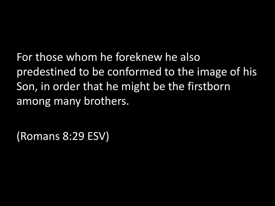For those whom he foreknew he also predestined to be conformed to the image of his Son, in order that he might be the firstborn among many brothers.

(Romans 8:29 ESV)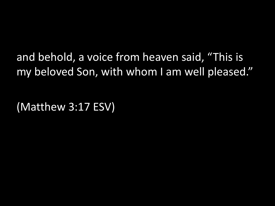and behold, a voice from heaven said, "This is my beloved Son, with whom I am well pleased."

(Matthew 3:17 ESV)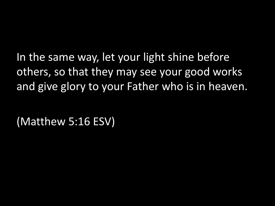In the same way, let your light shine before others, so that they may see your good works and give glory to your Father who is in heaven.

(Matthew 5:16 ESV)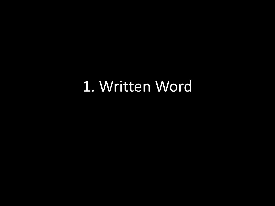### 1. Written Word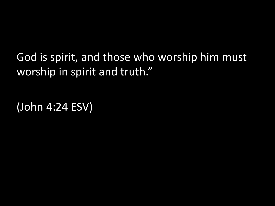God is spirit, and those who worship him must worship in spirit and truth."

(John 4:24 ESV)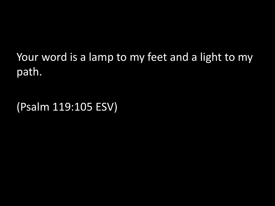Your word is a lamp to my feet and a light to my path.

(Psalm 119:105 ESV)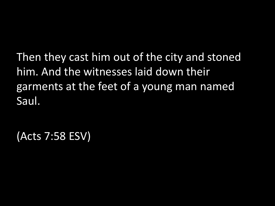Then they cast him out of the city and stoned him. And the witnesses laid down their garments at the feet of a young man named Saul.

(Acts 7:58 ESV)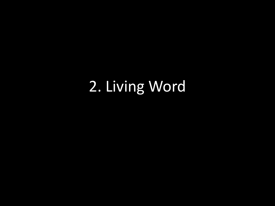## 2. Living Word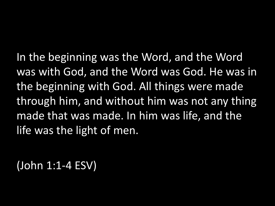In the beginning was the Word, and the Word was with God, and the Word was God. He was in the beginning with God. All things were made through him, and without him was not any thing made that was made. In him was life, and the life was the light of men.

(John 1:1-4 ESV)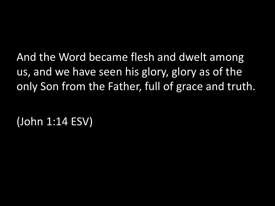And the Word became flesh and dwelt among us, and we have seen his glory, glory as of the only Son from the Father, full of grace and truth.

(John 1:14 ESV)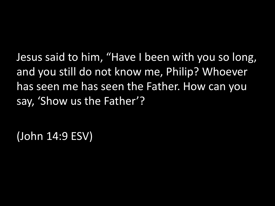Jesus said to him, "Have I been with you so long, and you still do not know me, Philip? Whoever has seen me has seen the Father. How can you say, 'Show us the Father'?

(John 14:9 ESV)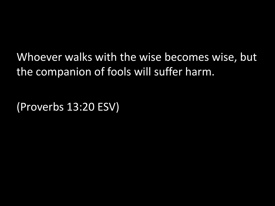Whoever walks with the wise becomes wise, but the companion of fools will suffer harm.

(Proverbs 13:20 ESV)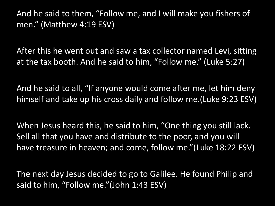And he said to them, "Follow me, and I will make you fishers of men." (Matthew 4:19 ESV)

After this he went out and saw a tax collector named Levi, sitting at the tax booth. And he said to him, "Follow me." (Luke 5:27)

And he said to all, "If anyone would come after me, let him deny himself and take up his cross daily and follow me.(Luke 9:23 ESV)

When Jesus heard this, he said to him, "One thing you still lack. Sell all that you have and distribute to the poor, and you will have treasure in heaven; and come, follow me."(Luke 18:22 ESV)

The next day Jesus decided to go to Galilee. He found Philip and said to him, "Follow me."(John 1:43 ESV)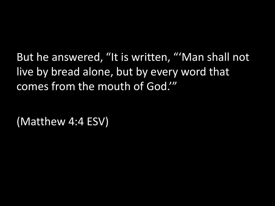But he answered, "It is written, "'Man shall not live by bread alone, but by every word that comes from the mouth of God.'"

(Matthew 4:4 ESV)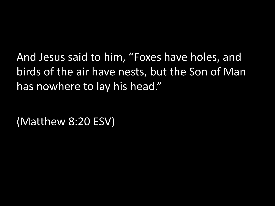And Jesus said to him, "Foxes have holes, and birds of the air have nests, but the Son of Man has nowhere to lay his head."

(Matthew 8:20 ESV)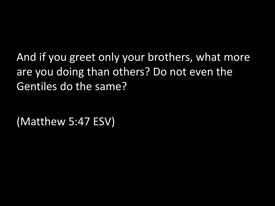And if you greet only your brothers, what more are you doing than others? Do not even the Gentiles do the same?

(Matthew 5:47 ESV)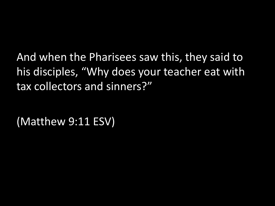And when the Pharisees saw this, they said to his disciples, "Why does your teacher eat with tax collectors and sinners?"

(Matthew 9:11 ESV)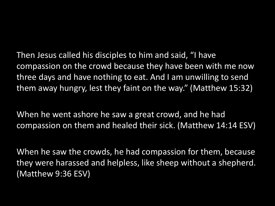Then Jesus called his disciples to him and said, "I have compassion on the crowd because they have been with me now three days and have nothing to eat. And I am unwilling to send them away hungry, lest they faint on the way." (Matthew 15:32)

When he went ashore he saw a great crowd, and he had compassion on them and healed their sick. (Matthew 14:14 ESV)

When he saw the crowds, he had compassion for them, because they were harassed and helpless, like sheep without a shepherd. (Matthew 9:36 ESV)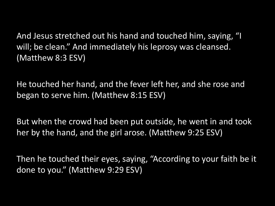And Jesus stretched out his hand and touched him, saying, "I will; be clean." And immediately his leprosy was cleansed. (Matthew 8:3 ESV)

He touched her hand, and the fever left her, and she rose and began to serve him. (Matthew 8:15 ESV)

But when the crowd had been put outside, he went in and took her by the hand, and the girl arose. (Matthew 9:25 ESV)

Then he touched their eyes, saying, "According to your faith be it done to you." (Matthew 9:29 ESV)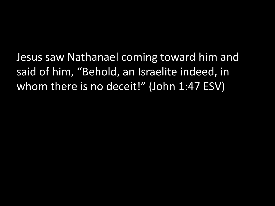Jesus saw Nathanael coming toward him and said of him, "Behold, an Israelite indeed, in whom there is no deceit!" (John 1:47 ESV)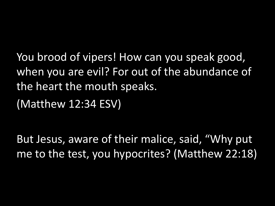You brood of vipers! How can you speak good, when you are evil? For out of the abundance of the heart the mouth speaks.

(Matthew 12:34 ESV)

But Jesus, aware of their malice, said, "Why put me to the test, you hypocrites? (Matthew 22:18)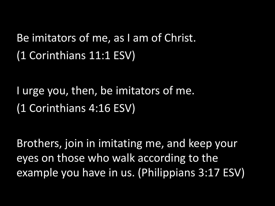### Be imitators of me, as I am of Christ. (1 Corinthians 11:1 ESV)

I urge you, then, be imitators of me. (1 Corinthians 4:16 ESV)

Brothers, join in imitating me, and keep your eyes on those who walk according to the example you have in us. (Philippians 3:17 ESV)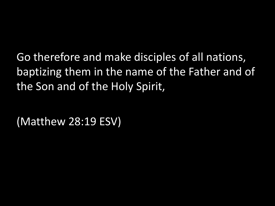Go therefore and make disciples of all nations, baptizing them in the name of the Father and of the Son and of the Holy Spirit,

(Matthew 28:19 ESV)